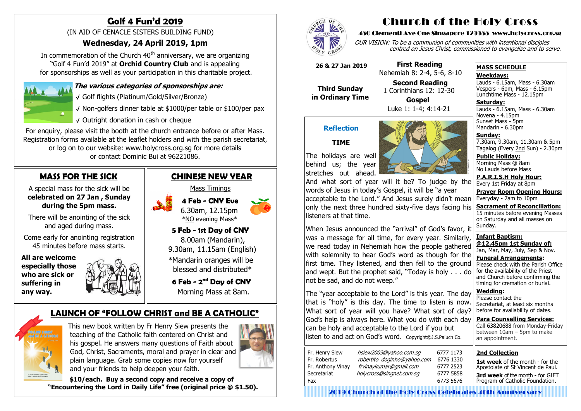# **MASS FOR THE SICK**

A special mass for the sick will be **celebrated on 27 Jan , Sunday during the 5pm mass.** 

There will be anointing of the sick and aged during mass.

Come early for anointing registration 45 minutes before mass starts.

 **All are welcome especially those who are sick or suffering in any way.**



In commemoration of the Church  $40<sup>th</sup>$  anniversary, we are organizing "Golf 4 Fun'd 2019" at **Orchid Country Club** and is appealing for sponsorships as well as your participation in this charitable project.



# **Golf 4 Fun'd 2019**

(IN AID OF CENACLE SISTERS BUILDING FUND)

## **Wednesday, 24 April 2019, 1pm**

### **The various categories of sponsorships are:**

√ Golf flights (Platinum/Gold/Silver/Bronze)

√ Non-golfers dinner table at \$1000/per table or \$100/per pax

√ Outright donation in cash or cheque

For enquiry, please visit the booth at the church entrance before or after Mass. Registration forms available at the leaflet holders and with the parish secretariat, or log on to our website: www.holycross.org.sg for more details or contact Dominic Bui at 96221086.

Lauds - 6.15am, Mass - 6.30am Novena - 4.15pm Sunset Mass - 5pm Mandarin - 6.30pm

## **CHINESE NEW YEAR**  Mass Timings  **4 Feb - CNY Eve**  6.30am, 12.15pm \*<u>NO</u> evening Mass\*  **5 Feb - 1st Day of CNY** 8.00am (Mandarin), 9.30am, 11.15am (English) \*Mandarin oranges will be blessed and distributed\*  **6 Feb - 2 nd Day of CNY**

Morning Mass at 8am.

# **LAUNCH OF "FOLLOW CHRIST and BE A CATHOLIC"**



This new book written by Fr Henry Siew presents the teaching of the Catholic faith centered on Christ and his gospel. He answers many questions of Faith about God, Christ, Sacraments, moral and prayer in clear and plain language. Grab some copies now for yourself and your friends to help deepen your faith.



 **\$10/each. Buy a second copy and receive a copy of "Encountering the Lord in Daily Life" free (original price @ \$1.50).**



# Church of the Holy Cross

#### 450 Clementi Ave One Singapore 129955 www.holycross.org.sg

OUR VISION: To be a communion of communities with intentional disciples centred on Jesus Christ, commissioned to evangelize and to serve.

#### **MASS SCHEDULE**

#### **Weekdays:**

1st week of the month - for the Apostolate of St Vincent de Paul. **3rd week** of the month - for GIFT Program of Catholic Foundation.

Lauds - 6.15am, Mass - 6.30am Vespers - 6pm, Mass - 6.15pm Lunchtime Mass - 12.15pm

**Saturday:**

**Sunday:** 7.30am, 9.30am, 11.30am & 5pm Tagalog (Every 2nd Sun) - 2.30pm

**Public Holiday:**  Morning Mass @ 8am No Lauds before Mass

**P.A.R.I.S.H Holy Hour:** Every 1st Friday at 8pm

**Prayer Room Opening Hours:** Everyday - 7am to 10pm

**Sacrament of Reconciliation:** 15 minutes before evening Masses on Saturday and all masses on Sunday.

**Infant Baptism: @12.45pm 1st Sunday of:** Jan, Mar, May, July, Sep & Nov. **Funeral Arrangements:** 

Please check with the Parish Office for the availability of the Priest and Church before confirming the timing for cremation or burial.

**Wedding:**  Please contact the Secretariat, at least six months before for availability of dates.

**Para Counselling Services:** Call [63820688](tel:+6563820688) from Monday-Friday between  $10$ am – 5pm to make an appointment.

#### **Reflection**

#### **TIME**

The holidays are well behind us; the year stretches out ahead.



And what sort of year will it be? To judge by the words of Jesus in today's Gospel, it will be "a year acceptable to the Lord." And Jesus surely didn't mean only the next three hundred sixty-five days facing his listeners at that time.

When Jesus announced the "arrival" of God's favor, it was a message for all time, for every year. Similarly, we read today in Nehemiah how the people gathered with solemnity to hear God's word as though for the first time. They listened, and then fell to the ground and wept. But the prophet said, "Today is holy . . . do not be sad, and do not weep."

The "year acceptable to the Lord" is this year. The day that is "holy" is this day. The time to listen is now. What sort of year will you have? What sort of day? God's help is always here. What you do with each day can be holy and acceptable to the Lord if you but listen to and act on God's word. Copyright©J.S.Paluch Co.

| Fr. Henry Siew    | hsiew2003@yahoo.com.sq      | 6 |
|-------------------|-----------------------------|---|
| Fr. Robertus      | robertito doginho@yahoo.com | 6 |
| Fr. Anthony Vinay | frvinaykumar@gmail.com      | 6 |
| Secretariat       | holycross@singnet.com.sq    | 6 |
| Fax               |                             | 6 |
|                   |                             |   |

 **26 & 27 Jan 2019**

 **Third Sunday in Ordinary Time**

 **First Reading** Nehemiah 8: 2-4, 5-6, 8-10

**Second Reading**

 1 Corinthians 12: 12-30 **Gospel** Luke 1: 1-4; 4:14-21

#### **2nd Collection**

2019 Church of the Holy Cross Celebrates 40th Anniversary